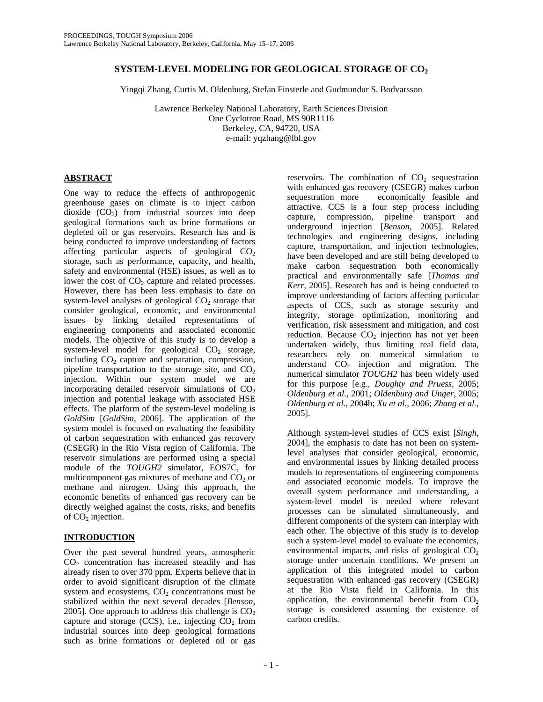### **SYSTEM-LEVEL MODELING FOR GEOLOGICAL STORAGE OF CO2**

Yingqi Zhang, Curtis M. Oldenburg, Stefan Finsterle and Gudmundur S. Bodvarsson

Lawrence Berkeley National Laboratory, Earth Sciences Division One Cyclotron Road, MS 90R1116 Berkeley, CA, 94720, USA e-mail: yqzhang@lbl.gov

### **ABSTRACT**

One way to reduce the effects of anthropogenic greenhouse gases on climate is to inject carbon dioxide  $(CO<sub>2</sub>)$  from industrial sources into deep geological formations such as brine formations or depleted oil or gas reservoirs. Research has and is being conducted to improve understanding of factors affecting particular aspects of geological  $CO<sub>2</sub>$ storage, such as performance, capacity, and health, safety and environmental (HSE) issues, as well as to lower the cost of  $CO<sub>2</sub>$  capture and related processes. However, there has been less emphasis to date on system-level analyses of geological  $CO<sub>2</sub>$  storage that consider geological, economic, and environmental issues by linking detailed representations of engineering components and associated economic models. The objective of this study is to develop a system-level model for geological  $CO<sub>2</sub>$  storage, including  $CO<sub>2</sub>$  capture and separation, compression, pipeline transportation to the storage site, and  $CO<sub>2</sub>$ injection. Within our system model we are incorporating detailed reservoir simulations of  $CO<sub>2</sub>$ injection and potential leakage with associated HSE effects. The platform of the system-level modeling is *GoldSim* [*GoldSim*, 2006]. The application of the system model is focused on evaluating the feasibility of carbon sequestration with enhanced gas recovery (CSEGR) in the Rio Vista region of California. The reservoir simulations are performed using a special module of the *TOUGH2* simulator, EOS7C, for multicomponent gas mixtures of methane and  $CO<sub>2</sub>$  or methane and nitrogen. Using this approach, the economic benefits of enhanced gas recovery can be directly weighed against the costs, risks, and benefits of  $CO<sub>2</sub>$  injection.

## **INTRODUCTION**

Over the past several hundred years, atmospheric  $CO<sub>2</sub>$  concentration has increased steadily and has already risen to over 370 ppm. Experts believe that in order to avoid significant disruption of the climate system and ecosystems,  $CO<sub>2</sub>$  concentrations must be stabilized within the next several decades [*Benson*, 2005]. One approach to address this challenge is  $CO<sub>2</sub>$ capture and storage (CCS), i.e., injecting  $CO<sub>2</sub>$  from industrial sources into deep geological formations such as brine formations or depleted oil or gas

reservoirs. The combination of  $CO<sub>2</sub>$  sequestration with enhanced gas recovery (CSEGR) makes carbon sequestration more economically feasible and attractive. CCS is a four step process including capture, compression, pipeline transport and underground injection [*Benson*, 2005]. Related technologies and engineering designs, including capture, transportation, and injection technologies, have been developed and are still being developed to make carbon sequestration both economically practical and environmentally safe [*Thomas and Kerr*, 2005]. Research has and is being conducted to improve understanding of factors affecting particular aspects of CCS, such as storage security and integrity, storage optimization, monitoring and verification, risk assessment and mitigation, and cost reduction. Because  $CO<sub>2</sub>$  injection has not yet been undertaken widely, thus limiting real field data, researchers rely on numerical simulation to understand  $CO<sub>2</sub>$  injection and migration. The numerical simulator *TOUGH2* has been widely used for this purpose [e.g., *Doughty and Pruess*, 2005; *Oldenburg et al.*, 2001; *Oldenburg and Unger*, 2005; *Oldenburg et al.*, 2004b; *Xu et al.*, 2006; *Zhang et al.*, 2005].

Although system-level studies of CCS exist [*Singh*, 2004], the emphasis to date has not been on systemlevel analyses that consider geological, economic, and environmental issues by linking detailed process models to representations of engineering components and associated economic models. To improve the overall system performance and understanding, a system-level model is needed where relevant processes can be simulated simultaneously, and different components of the system can interplay with each other. The objective of this study is to develop such a system-level model to evaluate the economics, environmental impacts, and risks of geological  $CO<sub>2</sub>$ storage under uncertain conditions. We present an application of this integrated model to carbon sequestration with enhanced gas recovery (CSEGR) at the Rio Vista field in California. In this application, the environmental benefit from  $CO<sub>2</sub>$ storage is considered assuming the existence of carbon credits.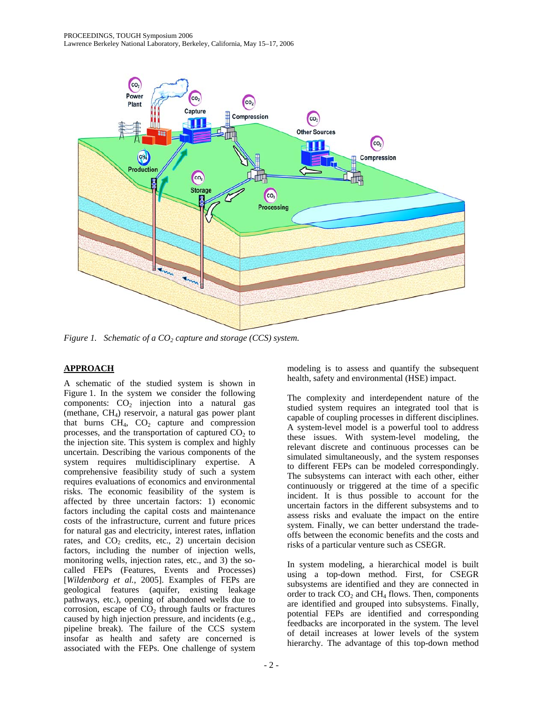

*Figure 1. Schematic of a CO<sub>2</sub> capture and storage (CCS) system.* 

# **APPROACH**

A schematic of the studied system is shown in Figure 1. In the system we consider the following components:  $CO<sub>2</sub>$  injection into a natural gas (methane, CH4) reservoir, a natural gas power plant that burns  $CH_4$ ,  $CO_2$  capture and compression processes, and the transportation of captured  $CO<sub>2</sub>$  to the injection site. This system is complex and highly uncertain. Describing the various components of the system requires multidisciplinary expertise. A comprehensive feasibility study of such a system requires evaluations of economics and environmental risks. The economic feasibility of the system is affected by three uncertain factors: 1) economic factors including the capital costs and maintenance costs of the infrastructure, current and future prices for natural gas and electricity, interest rates, inflation rates, and  $CO<sub>2</sub>$  credits, etc., 2) uncertain decision factors, including the number of injection wells, monitoring wells, injection rates, etc., and 3) the socalled FEPs (Features, Events and Processes) [*Wildenborg et al.*, 2005]. Examples of FEPs are geological features (aquifer, existing leakage pathways, etc.), opening of abandoned wells due to corrosion, escape of  $CO<sub>2</sub>$  through faults or fractures caused by high injection pressure, and incidents (e.g., pipeline break). The failure of the CCS system insofar as health and safety are concerned is associated with the FEPs. One challenge of system

modeling is to assess and quantify the subsequent health, safety and environmental (HSE) impact.

The complexity and interdependent nature of the studied system requires an integrated tool that is capable of coupling processes in different disciplines. A system-level model is a powerful tool to address these issues. With system-level modeling, the relevant discrete and continuous processes can be simulated simultaneously, and the system responses to different FEPs can be modeled correspondingly. The subsystems can interact with each other, either continuously or triggered at the time of a specific incident. It is thus possible to account for the uncertain factors in the different subsystems and to assess risks and evaluate the impact on the entire system. Finally, we can better understand the tradeoffs between the economic benefits and the costs and risks of a particular venture such as CSEGR.

In system modeling, a hierarchical model is built using a top-down method. First, for CSEGR subsystems are identified and they are connected in order to track  $CO<sub>2</sub>$  and  $CH<sub>4</sub>$  flows. Then, components are identified and grouped into subsystems. Finally, potential FEPs are identified and corresponding feedbacks are incorporated in the system. The level of detail increases at lower levels of the system hierarchy. The advantage of this top-down method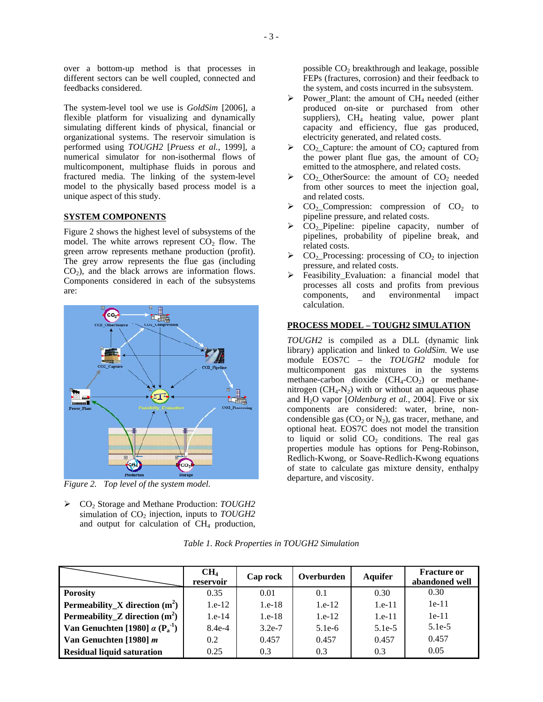over a bottom-up method is that processes in different sectors can be well coupled, connected and feedbacks considered.

The system-level tool we use is *GoldSim* [2006], a flexible platform for visualizing and dynamically simulating different kinds of physical, financial or organizational systems. The reservoir simulation is performed using *TOUGH2* [*Pruess et al.*, 1999], a numerical simulator for non-isothermal flows of multicomponent, multiphase fluids in porous and fractured media. The linking of the system-level model to the physically based process model is a unique aspect of this study.

### **SYSTEM COMPONENTS**

Figure 2 shows the highest level of subsystems of the model. The white arrows represent  $CO<sub>2</sub>$  flow. The green arrow represents methane production (profit). The grey arrow represents the flue gas (including  $CO<sub>2</sub>$ ), and the black arrows are information flows. Components considered in each of the subsystems are:



*Figure 2. Top level of the system model.* 

¾ CO2 Storage and Methane Production: *TOUGH2* simulation of CO<sub>2</sub> injection, inputs to *TOUGH2* and output for calculation of  $CH<sub>4</sub>$  production,

possible  $CO<sub>2</sub>$  breakthrough and leakage, possible FEPs (fractures, corrosion) and their feedback to the system, and costs incurred in the subsystem.

- Power\_Plant: the amount of CH<sub>4</sub> needed (either produced on-site or purchased from other suppliers), CH<sub>4</sub> heating value, power plant capacity and efficiency, flue gas produced, electricity generated, and related costs.
- $CO<sub>2</sub>$  Capture: the amount of  $CO<sub>2</sub>$  captured from the power plant flue gas, the amount of  $CO<sub>2</sub>$ emitted to the atmosphere, and related costs.
- $\triangleright$  CO<sub>2</sub> OtherSource: the amount of CO<sub>2</sub> needed from other sources to meet the injection goal, and related costs.
- $\triangleright$  CO<sub>2</sub>\_Compression: compression of CO<sub>2</sub> to pipeline pressure, and related costs.
- $\triangleright$  CO<sub>2</sub> Pipeline: pipeline capacity, number of pipelines, probability of pipeline break, and related costs.
- $CO<sub>2</sub>$ -Processing: processing of  $CO<sub>2</sub>$  to injection pressure, and related costs.
- Feasibility Evaluation: a financial model that processes all costs and profits from previous components, and environmental impact calculation.

#### **PROCESS MODEL – TOUGH2 SIMULATION**

*TOUGH2* is compiled as a DLL (dynamic link library) application and linked to *GoldSim*. We use module EOS7C – the *TOUGH2* module for multicomponent gas mixtures in the systems methane-carbon dioxide  $(CH_4\text{-}CO_2)$  or methanenitrogen  $(CH_4-N_2)$  with or without an aqueous phase and H2O vapor [*Oldenburg et al.*, 2004]. Five or six components are considered: water, brine, noncondensible gas  $(CO_2$  or  $N_2$ ), gas tracer, methane, and optional heat. EOS7C does not model the transition to liquid or solid  $CO<sub>2</sub>$  conditions. The real gas properties module has options for Peng-Robinson, Redlich-Kwong, or Soave-Redlich-Kwong equations of state to calculate gas mixture density, enthalpy departure, and viscosity.

|                                                     | CH <sub>4</sub><br>reservoir | Cap rock | Overburden | <b>Aquifer</b> | <b>Fracture or</b><br>abandoned well |
|-----------------------------------------------------|------------------------------|----------|------------|----------------|--------------------------------------|
| <b>Porosity</b>                                     | 0.35                         | 0.01     | 0.1        | 0.30           | 0.30                                 |
| <b>Permeability_X</b> direction $(m^2)$             | $1.e-12$                     | $1.e-18$ | $1.e-12$   | $1.e-11$       | $1e-11$                              |
| <b>Permeability_Z</b> direction $(m^2)$             | $1.e-14$                     | $1.e-18$ | $1.e-12$   | $1.e-11$       | $1e-11$                              |
| Van Genuchten [1980] $\alpha$ ( $P_a^{\text{-1}}$ ) | $8.4e-4$                     | $3.2e-7$ | $5.1e-6$   | $5.1e-5$       | $5.1e-5$                             |
| Van Genuchten [1980] $m$                            | $0.2^{\circ}$                | 0.457    | 0.457      | 0.457          | 0.457                                |
| <b>Residual liquid saturation</b>                   | 0.25                         | 0.3      | 0.3        | 0.3            | 0.05                                 |

*Table 1. Rock Properties in TOUGH2 Simulation*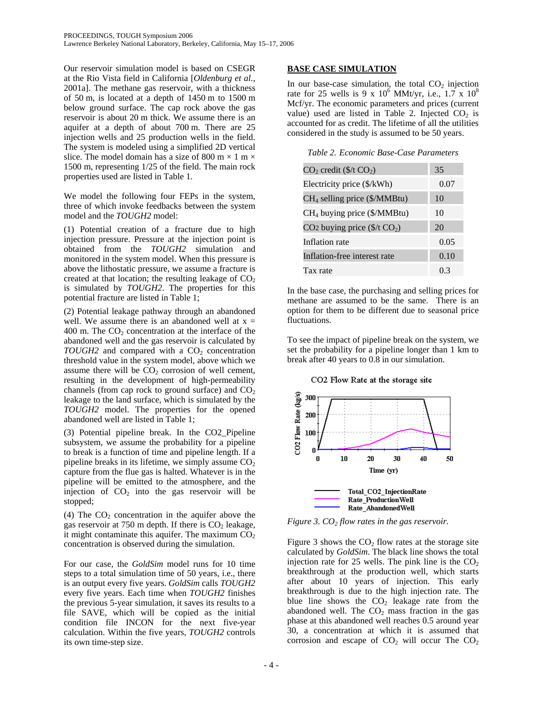Our reservoir simulation model is based on CSEGR at the Rio Vista field in California [*Oldenburg et al.*, 2001a]. The methane gas reservoir, with a thickness of 50 m, is located at a depth of 1450 m to 1500 m below ground surface. The cap rock above the gas reservoir is about 20 m thick. We assume there is an aquifer at a depth of about 700 m. There are 25 injection wells and 25 production wells in the field. The system is modeled using a simplified 2D vertical slice. The model domain has a size of 800 m  $\times$  1 m  $\times$ 1500 m, representing 1/25 of the field. The main rock properties used are listed in Table 1.

We model the following four FEPs in the system, three of which invoke feedbacks between the system model and the *TOUGH2* model:

(1) Potential creation of a fracture due to high injection pressure. Pressure at the injection point is obtained from the *TOUGH2* simulation and monitored in the system model. When this pressure is above the lithostatic pressure, we assume a fracture is created at that location; the resulting leakage of  $CO<sub>2</sub>$ is simulated by *TOUGH2*. The properties for this potential fracture are listed in Table 1;

(2) Potential leakage pathway through an abandoned well. We assume there is an abandoned well at  $x =$ 400 m. The  $CO<sub>2</sub>$  concentration at the interface of the abandoned well and the gas reservoir is calculated by  $TOUGH2$  and compared with a  $CO<sub>2</sub>$  concentration threshold value in the system model, above which we assume there will be  $CO<sub>2</sub>$  corrosion of well cement, resulting in the development of high-permeability channels (from cap rock to ground surface) and  $CO<sub>2</sub>$ leakage to the land surface, which is simulated by the *TOUGH2* model. The properties for the opened abandoned well are listed in Table 1;

(3) Potential pipeline break. In the CO2\_Pipeline subsystem, we assume the probability for a pipeline to break is a function of time and pipeline length. If a pipeline breaks in its lifetime, we simply assume  $CO<sub>2</sub>$ capture from the flue gas is halted. Whatever is in the pipeline will be emitted to the atmosphere, and the injection of  $CO<sub>2</sub>$  into the gas reservoir will be stopped;

(4) The  $CO<sub>2</sub>$  concentration in the aquifer above the gas reservoir at 750 m depth. If there is  $CO<sub>2</sub>$  leakage, it might contaminate this aquifer. The maximum  $CO<sub>2</sub>$ concentration is observed during the simulation.

For our case, the *GoldSim* model runs for 10 time steps to a total simulation time of 50 years, i.e., there is an output every five years. *GoldSim* calls *TOUGH2* every five years. Each time when *TOUGH2* finishes the previous 5-year simulation, it saves its results to a file SAVE, which will be copied as the initial condition file INCON for the next five-year calculation. Within the five years, *TOUGH2* controls its own time-step size.

### **BASE CASE SIMULATION**

In our base-case simulation, the total  $CO<sub>2</sub>$  injection rate for 25 wells is 9 x  $10^6$  MMt/yr, i.e.,  $1.7 \times 10^8$ Mcf/yr. The economic parameters and prices (current value) used are listed in Table 2. Injected  $CO<sub>2</sub>$  is accounted for as credit. The lifetime of all the utilities considered in the study is assumed to be 50 years.

*Table 2. Economic Base-Case Parameters* 

| $CO2$ credit (\$/t $CO2$ )                        | 35   |
|---------------------------------------------------|------|
| Electricity price (\$/kWh)                        | 0.07 |
| CH <sub>4</sub> selling price (\$/MMBtu)          | 10   |
| CH <sub>4</sub> buying price (\$/MMBtu)           | 10   |
| CO <sub>2</sub> buying price $(\frac{f}{f(C_2)})$ | 20   |
| Inflation rate                                    | 0.05 |
| Inflation-free interest rate                      | 0.10 |
| Tax rate                                          | 03   |

In the base case, the purchasing and selling prices for methane are assumed to be the same. There is an option for them to be different due to seasonal price fluctuations.

To see the impact of pipeline break on the system, we set the probability for a pipeline longer than 1 km to break after 40 years to 0.8 in our simulation.





*Figure 3.*  $CO<sub>2</sub>$ *flow rates in the gas reservoir.* 

Figure 3 shows the  $CO<sub>2</sub>$  flow rates at the storage site calculated by *GoldSim*. The black line shows the total injection rate for 25 wells. The pink line is the  $CO<sub>2</sub>$ breakthrough at the production well, which starts after about 10 years of injection. This early breakthrough is due to the high injection rate. The blue line shows the  $CO<sub>2</sub>$  leakage rate from the abandoned well. The  $CO<sub>2</sub>$  mass fraction in the gas phase at this abandoned well reaches 0.5 around year 30, a concentration at which it is assumed that corrosion and escape of  $CO<sub>2</sub>$  will occur The  $CO<sub>2</sub>$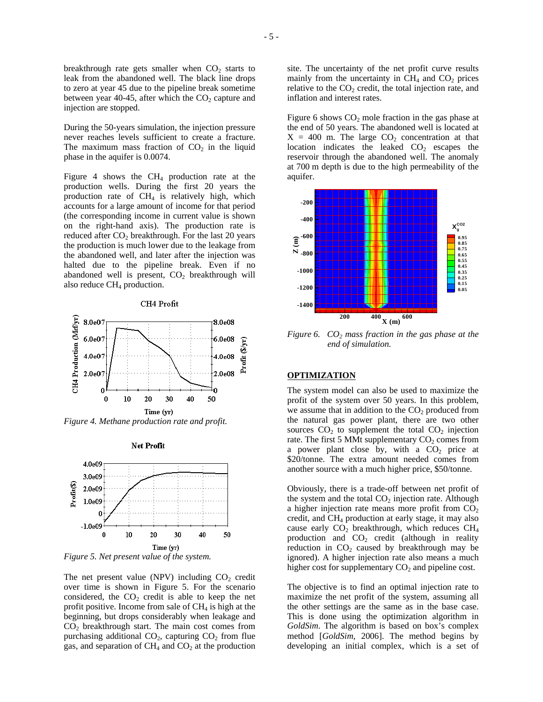breakthrough rate gets smaller when  $CO<sub>2</sub>$  starts to leak from the abandoned well. The black line drops to zero at year 45 due to the pipeline break sometime between year 40-45, after which the  $CO<sub>2</sub>$  capture and injection are stopped.

During the 50-years simulation, the injection pressure never reaches levels sufficient to create a fracture. The maximum mass fraction of  $CO<sub>2</sub>$  in the liquid phase in the aquifer is 0.0074.

Figure 4 shows the  $CH<sub>4</sub>$  production rate at the production wells. During the first 20 years the production rate of  $CH<sub>4</sub>$  is relatively high, which accounts for a large amount of income for that period (the corresponding income in current value is shown on the right-hand axis). The production rate is reduced after  $CO<sub>2</sub>$  breakthrough. For the last 20 years the production is much lower due to the leakage from the abandoned well, and later after the injection was halted due to the pipeline break. Even if no abandoned well is present,  $CO<sub>2</sub>$  breakthrough will also reduce  $CH_4$  production.



CH4 Profit

*Figure 4. Methane production rate and profit.* 

**Net Profit** 



*Figure 5. Net present value of the system.* 

The net present value (NPV) including  $CO<sub>2</sub>$  credit over time is shown in Figure 5. For the scenario considered, the  $CO<sub>2</sub>$  credit is able to keep the net profit positive. Income from sale of  $CH<sub>4</sub>$  is high at the beginning, but drops considerably when leakage and  $CO<sub>2</sub>$  breakthrough start. The main cost comes from purchasing additional  $CO<sub>2</sub>$ , capturing  $CO<sub>2</sub>$  from flue gas, and separation of  $CH_4$  and  $CO_2$  at the production

site. The uncertainty of the net profit curve results mainly from the uncertainty in  $CH<sub>4</sub>$  and  $CO<sub>2</sub>$  prices relative to the  $CO<sub>2</sub>$  credit, the total injection rate, and inflation and interest rates.

Figure 6 shows  $CO<sub>2</sub>$  mole fraction in the gas phase at the end of 50 years. The abandoned well is located at  $X = 400$  m. The large  $CO<sub>2</sub>$  concentration at that location indicates the leaked  $CO<sub>2</sub>$  escapes the reservoir through the abandoned well. The anomaly at 700 m depth is due to the high permeability of the aquifer.



*Figure 6.*  $CO<sub>2</sub>$  *mass fraction in the gas phase at the end of simulation.* 

### **OPTIMIZATION**

The system model can also be used to maximize the profit of the system over 50 years. In this problem, we assume that in addition to the  $CO<sub>2</sub>$  produced from the natural gas power plant, there are two other sources  $CO<sub>2</sub>$  to supplement the total  $CO<sub>2</sub>$  injection rate. The first 5 MMt supplementary  $CO<sub>2</sub>$  comes from a power plant close by, with a  $CO<sub>2</sub>$  price at \$20/tonne. The extra amount needed comes from another source with a much higher price, \$50/tonne.

Obviously, there is a trade-off between net profit of the system and the total  $CO<sub>2</sub>$  injection rate. Although a higher injection rate means more profit from  $CO<sub>2</sub>$ credit, and CH4 production at early stage, it may also cause early  $CO<sub>2</sub>$  breakthrough, which reduces  $CH<sub>4</sub>$ production and  $CO<sub>2</sub>$  credit (although in reality reduction in  $CO<sub>2</sub>$  caused by breakthrough may be ignored). A higher injection rate also means a much higher cost for supplementary  $CO<sub>2</sub>$  and pipeline cost.

The objective is to find an optimal injection rate to maximize the net profit of the system, assuming all the other settings are the same as in the base case. This is done using the optimization algorithm in *GoldSim*. The algorithm is based on box's complex method [*GoldSim*, 2006]. The method begins by developing an initial complex, which is a set of